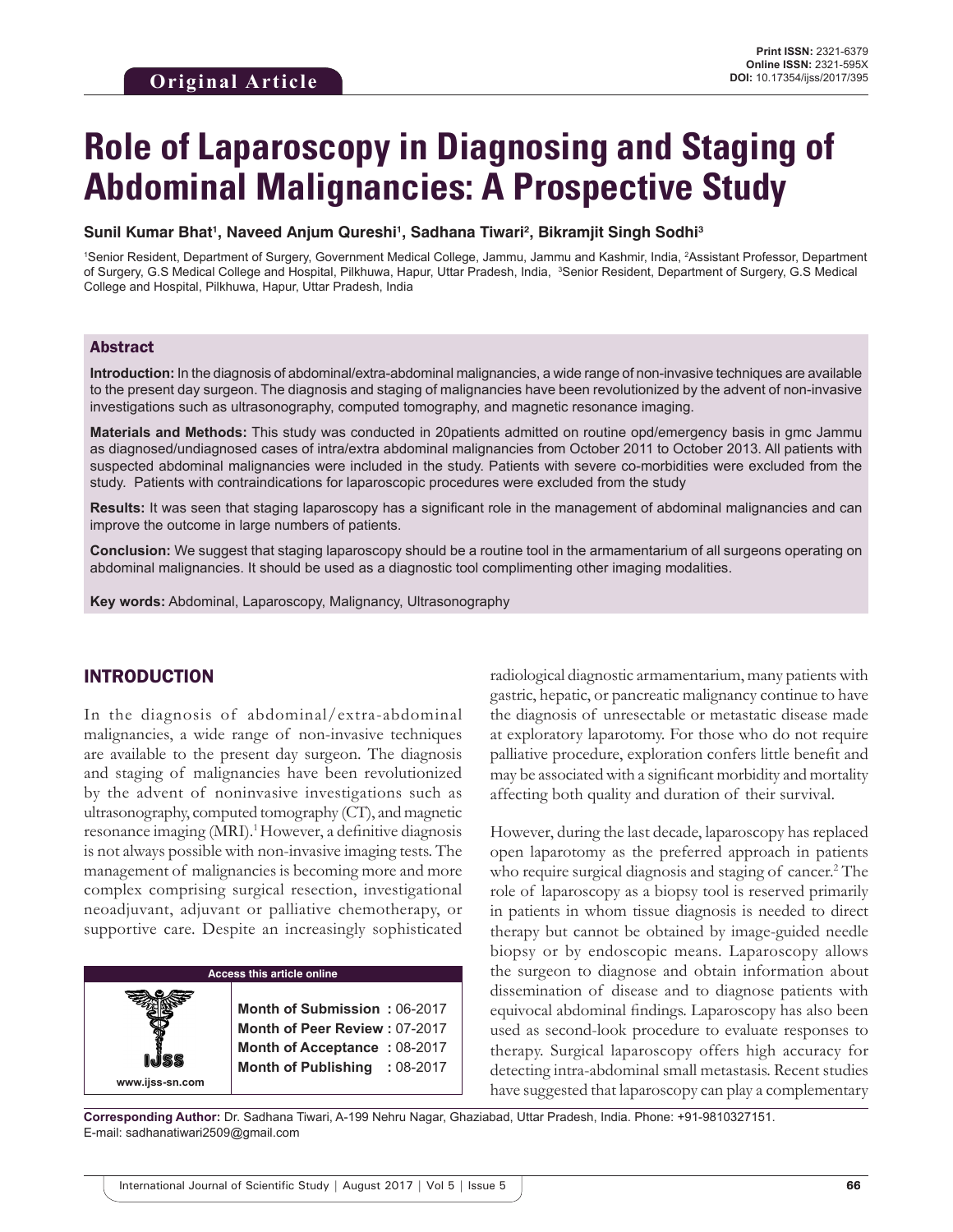# **Role of Laparoscopy in Diagnosing and Staging of Abdominal Malignancies: A Prospective Study**

#### **Sunil Kumar Bhat1 , Naveed Anjum Qureshi1 , Sadhana Tiwari2 , Bikramjit Singh Sodhi3**

<sup>1</sup>Senior Resident, Department of Surgery, Government Medical College, Jammu, Jammu and Kashmir, India, <sup>2</sup>Assistant Professor, Department of Surgery, G.S Medical College and Hospital, Pilkhuwa, Hapur, Uttar Pradesh, India, <sup>3</sup>Senior Resident, Department of Surgery, G.S Medical College and Hospital, Pilkhuwa, Hapur, Uttar Pradesh, India

#### Abstract

**Introduction:** In the diagnosis of abdominal/extra-abdominal malignancies, a wide range of non-invasive techniques are available to the present day surgeon. The diagnosis and staging of malignancies have been revolutionized by the advent of non-invasive investigations such as ultrasonography, computed tomography, and magnetic resonance imaging.

**Materials and Methods:** This study was conducted in 20patients admitted on routine opd/emergency basis in gmc Jammu as diagnosed/undiagnosed cases of intra/extra abdominal malignancies from October 2011 to October 2013. All patients with suspected abdominal malignancies were included in the study. Patients with severe co-morbidities were excluded from the study. Patients with contraindications for laparoscopic procedures were excluded from the study

**Results:** It was seen that staging laparoscopy has a significant role in the management of abdominal malignancies and can improve the outcome in large numbers of patients.

**Conclusion:** We suggest that staging laparoscopy should be a routine tool in the armamentarium of all surgeons operating on abdominal malignancies. It should be used as a diagnostic tool complimenting other imaging modalities.

**Key words:** Abdominal, Laparoscopy, Malignancy, Ultrasonography

## INTRODUCTION

**www.ijss-sn.com**

In the diagnosis of abdominal/extra-abdominal malignancies, a wide range of non-invasive techniques are available to the present day surgeon. The diagnosis and staging of malignancies have been revolutionized by the advent of noninvasive investigations such as ultrasonography, computed tomography (CT), and magnetic resonance imaging (MRI).<sup>1</sup> However, a definitive diagnosis is not always possible with non-invasive imaging tests. The management of malignancies is becoming more and more complex comprising surgical resection, investigational neoadjuvant, adjuvant or palliative chemotherapy, or supportive care. Despite an increasingly sophisticated

#### **Access this article online**

**Month of Submission :** 06-2017 **Month of Peer Review :** 07-2017 **Month of Acceptance :** 08-2017 **Month of Publishing :** 08-2017 radiological diagnostic armamentarium, many patients with gastric, hepatic, or pancreatic malignancy continue to have the diagnosis of unresectable or metastatic disease made at exploratory laparotomy. For those who do not require palliative procedure, exploration confers little benefit and may be associated with a significant morbidity and mortality affecting both quality and duration of their survival.

However, during the last decade, laparoscopy has replaced open laparotomy as the preferred approach in patients who require surgical diagnosis and staging of cancer.<sup>2</sup> The role of laparoscopy as a biopsy tool is reserved primarily in patients in whom tissue diagnosis is needed to direct therapy but cannot be obtained by image-guided needle biopsy or by endoscopic means. Laparoscopy allows the surgeon to diagnose and obtain information about dissemination of disease and to diagnose patients with equivocal abdominal findings. Laparoscopy has also been used as second-look procedure to evaluate responses to therapy. Surgical laparoscopy offers high accuracy for detecting intra-abdominal small metastasis. Recent studies have suggested that laparoscopy can play a complementary

**Corresponding Author:** Dr. Sadhana Tiwari, A-199 Nehru Nagar, Ghaziabad, Uttar Pradesh, India. Phone: +91-9810327151. E-mail: sadhanatiwari2509@gmail.com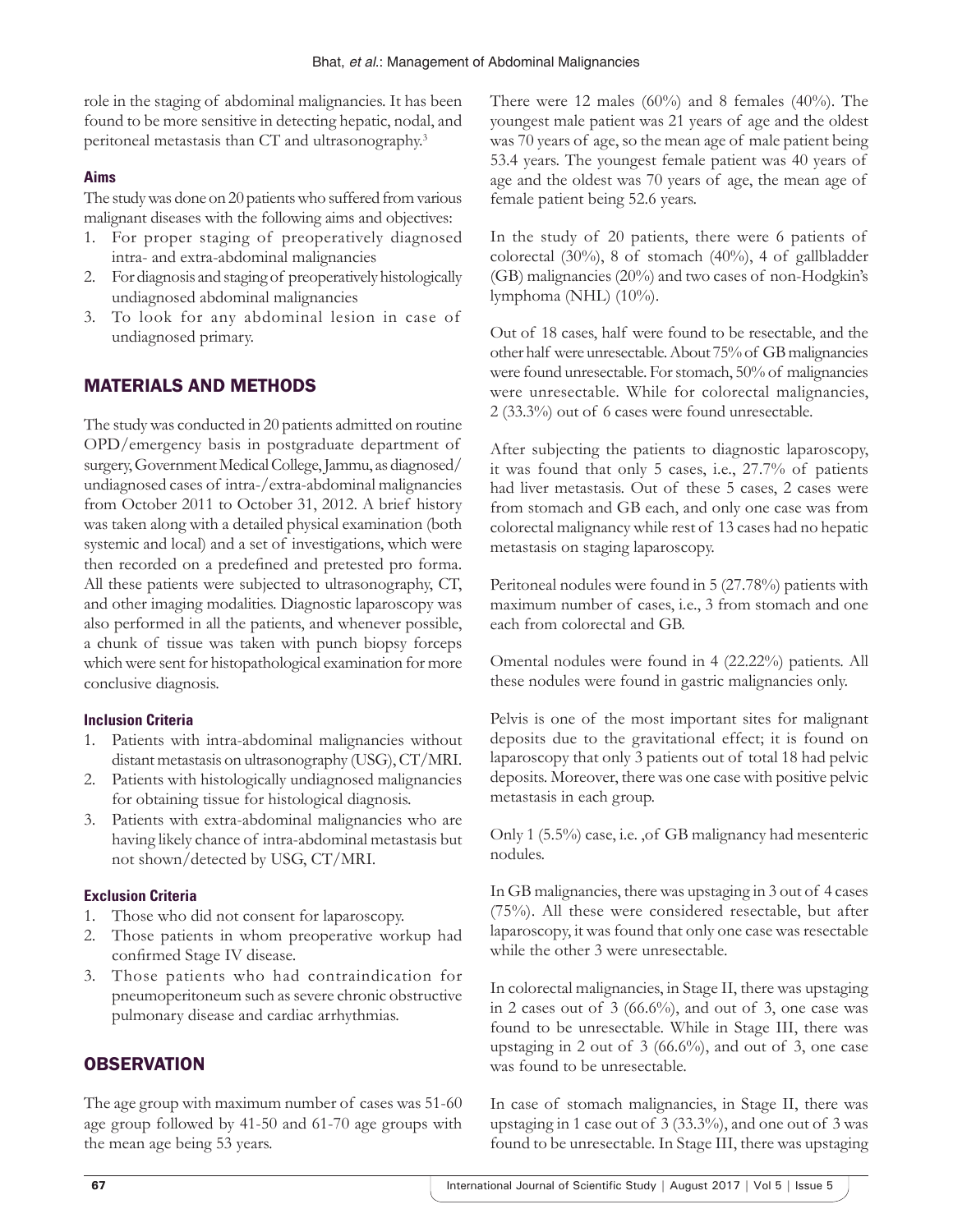role in the staging of abdominal malignancies. It has been found to be more sensitive in detecting hepatic, nodal, and peritoneal metastasis than CT and ultrasonography.3

## **Aims**

The study was done on 20 patients who suffered from various malignant diseases with the following aims and objectives:

- 1. For proper staging of preoperatively diagnosed intra- and extra-abdominal malignancies
- 2. For diagnosis and staging of preoperatively histologically undiagnosed abdominal malignancies
- 3. To look for any abdominal lesion in case of undiagnosed primary.

# MATERIALS AND METHODS

The study was conducted in 20 patients admitted on routine OPD/emergency basis in postgraduate department of surgery, Government Medical College, Jammu, as diagnosed/ undiagnosed cases of intra-/extra-abdominal malignancies from October 2011 to October 31, 2012. A brief history was taken along with a detailed physical examination (both systemic and local) and a set of investigations, which were then recorded on a predefined and pretested pro forma. All these patients were subjected to ultrasonography, CT, and other imaging modalities. Diagnostic laparoscopy was also performed in all the patients, and whenever possible, a chunk of tissue was taken with punch biopsy forceps which were sent for histopathological examination for more conclusive diagnosis.

## **Inclusion Criteria**

- 1. Patients with intra-abdominal malignancies without distant metastasis on ultrasonography (USG), CT/MRI.
- 2. Patients with histologically undiagnosed malignancies for obtaining tissue for histological diagnosis.
- 3. Patients with extra-abdominal malignancies who are having likely chance of intra-abdominal metastasis but not shown/detected by USG, CT/MRI.

## **Exclusion Criteria**

- 1. Those who did not consent for laparoscopy.
- 2. Those patients in whom preoperative workup had confirmed Stage IV disease.
- 3. Those patients who had contraindication for pneumoperitoneum such as severe chronic obstructive pulmonary disease and cardiac arrhythmias.

## **OBSERVATION**

The age group with maximum number of cases was 51-60 age group followed by 41-50 and 61-70 age groups with the mean age being 53 years.

There were 12 males (60%) and 8 females (40%). The youngest male patient was 21 years of age and the oldest was 70 years of age, so the mean age of male patient being 53.4 years. The youngest female patient was 40 years of age and the oldest was 70 years of age, the mean age of female patient being 52.6 years.

In the study of 20 patients, there were 6 patients of colorectal (30%), 8 of stomach (40%), 4 of gallbladder (GB) malignancies (20%) and two cases of non-Hodgkin's lymphoma (NHL)  $(10\%)$ .

Out of 18 cases, half were found to be resectable, and the other half were unresectable. About 75% of GB malignancies were found unresectable. For stomach, 50% of malignancies were unresectable. While for colorectal malignancies, 2 (33.3%) out of 6 cases were found unresectable.

After subjecting the patients to diagnostic laparoscopy, it was found that only 5 cases, i.e., 27.7% of patients had liver metastasis. Out of these 5 cases, 2 cases were from stomach and GB each, and only one case was from colorectal malignancy while rest of 13 cases had no hepatic metastasis on staging laparoscopy.

Peritoneal nodules were found in 5 (27.78%) patients with maximum number of cases, i.e., 3 from stomach and one each from colorectal and GB.

Omental nodules were found in 4 (22.22%) patients. All these nodules were found in gastric malignancies only.

Pelvis is one of the most important sites for malignant deposits due to the gravitational effect; it is found on laparoscopy that only 3 patients out of total 18 had pelvic deposits. Moreover, there was one case with positive pelvic metastasis in each group.

Only 1 (5.5%) case, i.e. ,of GB malignancy had mesenteric nodules.

In GB malignancies, there was upstaging in 3 out of 4 cases (75%). All these were considered resectable, but after laparoscopy, it was found that only one case was resectable while the other 3 were unresectable.

In colorectal malignancies, in Stage II, there was upstaging in 2 cases out of  $3(66.6\%)$ , and out of 3, one case was found to be unresectable. While in Stage III, there was upstaging in 2 out of 3 (66.6%), and out of 3, one case was found to be unresectable.

In case of stomach malignancies, in Stage II, there was upstaging in 1 case out of 3 (33.3%), and one out of 3 was found to be unresectable. In Stage III, there was upstaging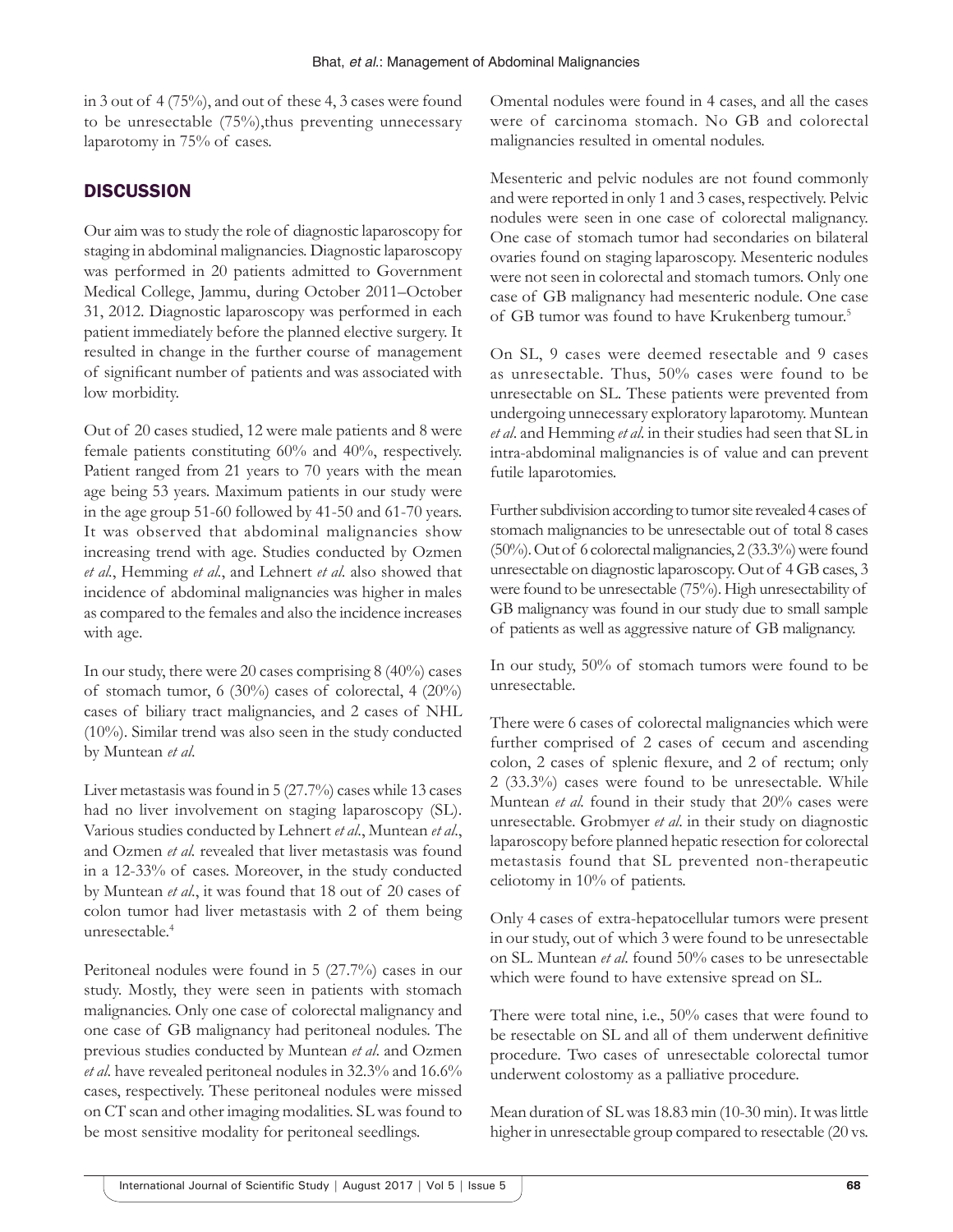in 3 out of 4 (75%), and out of these 4, 3 cases were found to be unresectable (75%),thus preventing unnecessary laparotomy in 75% of cases.

## **DISCUSSION**

Our aim was to study the role of diagnostic laparoscopy for staging in abdominal malignancies. Diagnostic laparoscopy was performed in 20 patients admitted to Government Medical College, Jammu, during October 2011–October 31, 2012. Diagnostic laparoscopy was performed in each patient immediately before the planned elective surgery. It resulted in change in the further course of management of significant number of patients and was associated with low morbidity.

Out of 20 cases studied, 12 were male patients and 8 were female patients constituting 60% and 40%, respectively. Patient ranged from 21 years to 70 years with the mean age being 53 years. Maximum patients in our study were in the age group 51-60 followed by 41-50 and 61-70 years. It was observed that abdominal malignancies show increasing trend with age. Studies conducted by Ozmen *et al.*, Hemming *et al.*, and Lehnert *et al*. also showed that incidence of abdominal malignancies was higher in males as compared to the females and also the incidence increases with age.

In our study, there were 20 cases comprising 8 (40%) cases of stomach tumor, 6 (30%) cases of colorectal, 4 (20%) cases of biliary tract malignancies, and 2 cases of NHL (10%). Similar trend was also seen in the study conducted by Muntean *et al*.

Liver metastasis was found in 5 (27.7%) cases while 13 cases had no liver involvement on staging laparoscopy (SL). Various studies conducted by Lehnert *et al*., Muntean *et al*., and Ozmen *et al.* revealed that liver metastasis was found in a 12-33% of cases. Moreover, in the study conducted by Muntean *et al*., it was found that 18 out of 20 cases of colon tumor had liver metastasis with 2 of them being unresectable. 4

Peritoneal nodules were found in 5 (27.7%) cases in our study. Mostly, they were seen in patients with stomach malignancies. Only one case of colorectal malignancy and one case of GB malignancy had peritoneal nodules. The previous studies conducted by Muntean *et al*. and Ozmen *et al*. have revealed peritoneal nodules in 32.3% and 16.6% cases, respectively. These peritoneal nodules were missed on CT scan and other imaging modalities. SL was found to be most sensitive modality for peritoneal seedlings.

Omental nodules were found in 4 cases, and all the cases were of carcinoma stomach. No GB and colorectal malignancies resulted in omental nodules.

Mesenteric and pelvic nodules are not found commonly and were reported in only 1 and 3 cases, respectively. Pelvic nodules were seen in one case of colorectal malignancy. One case of stomach tumor had secondaries on bilateral ovaries found on staging laparoscopy. Mesenteric nodules were not seen in colorectal and stomach tumors. Only one case of GB malignancy had mesenteric nodule. One case of GB tumor was found to have Krukenberg tumour.<sup>5</sup>

On SL, 9 cases were deemed resectable and 9 cases as unresectable. Thus, 50% cases were found to be unresectable on SL. These patients were prevented from undergoing unnecessary exploratory laparotomy. Muntean *et al*. and Hemming *et al*. in their studies had seen that SL in intra-abdominal malignancies is of value and can prevent futile laparotomies.

Further subdivision according to tumor site revealed 4 cases of stomach malignancies to be unresectable out of total 8 cases (50%). Out of 6 colorectal malignancies, 2 (33.3%) were found unresectable on diagnostic laparoscopy. Out of 4 GB cases, 3 were found to be unresectable (75%). High unresectability of GB malignancy was found in our study due to small sample of patients as well as aggressive nature of GB malignancy.

In our study, 50% of stomach tumors were found to be unresectable.

There were 6 cases of colorectal malignancies which were further comprised of 2 cases of cecum and ascending colon, 2 cases of splenic flexure, and 2 of rectum; only 2 (33.3%) cases were found to be unresectable. While Muntean *et al.* found in their study that 20% cases were unresectable. Grobmyer *et al*. in their study on diagnostic laparoscopy before planned hepatic resection for colorectal metastasis found that SL prevented non-therapeutic celiotomy in 10% of patients.

Only 4 cases of extra-hepatocellular tumors were present in our study, out of which 3 were found to be unresectable on SL. Muntean *et al*. found 50% cases to be unresectable which were found to have extensive spread on SL.

There were total nine, i.e., 50% cases that were found to be resectable on SL and all of them underwent definitive procedure. Two cases of unresectable colorectal tumor underwent colostomy as a palliative procedure.

Mean duration of SL was 18.83 min (10-30 min). It was little higher in unresectable group compared to resectable (20 vs.